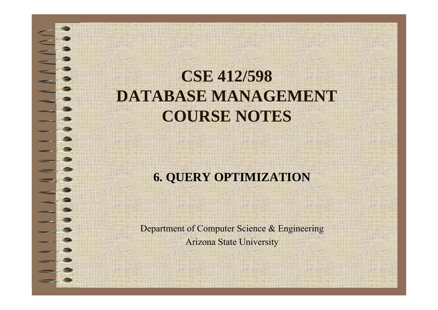# **CSE 412/598 DATABASE MANAGEMENT COURSE NOTES**

#### **6. QUERY OPTIMIZATION**

Department of Computer Science & Engineering Arizona State University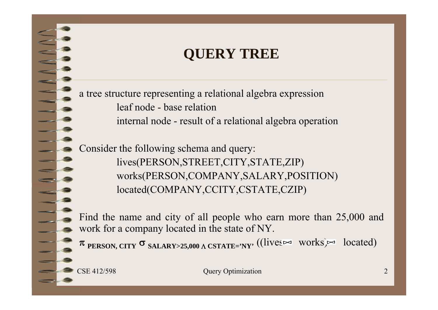#### **QUERY TREE**

<sup>a</sup> tree structure representing <sup>a</sup> relational algebra expression leaf node - base relationinternal node - result of <sup>a</sup> relational algebra operation

Consider the following schema and query: lives(PERSON,STREET,CITY,STATE,ZIP) works(PERSON,COMPANY,SALARY,POSITION) located(COMPANY,CCITY,CSTATE,CZIP)

Find the name and city of all people who earn more than 25,000 and work for <sup>a</sup> company located in the state of NY.

<sup>π</sup> PERSON, CITY <sup>σ</sup> SALARY>25,000 Λ CSTATE='NY' ((lives∞ works)∞ located)

CSE 412/598 Ouery Optimization 2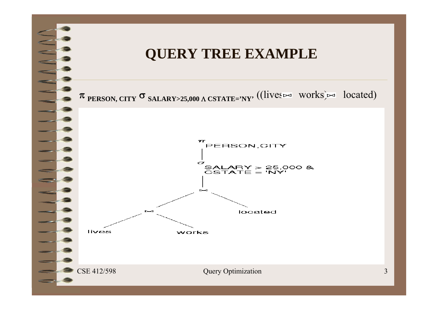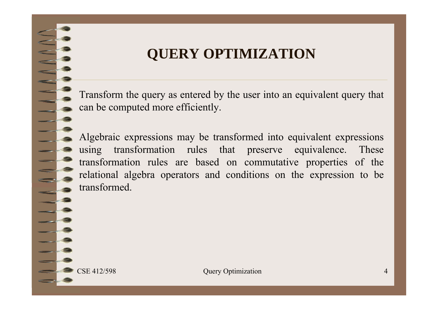### **QUERY OPTIMIZATION**

Transform the query as entered by the user into an equivalent query that can be computed more efficiently.

Algebraic expressions may be transformed into equivalent expressions using transformation rules that preserve equivalence. These transformation rules are based on commutative properties of the relational algebra operators and conditions on the expression to be transformed.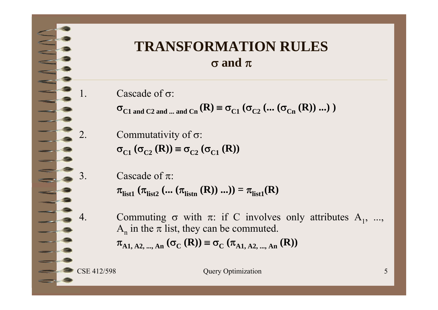#### **TRANSFORMATION RULES**  $\sigma$  and  $\pi$

- 1. Cascade of σ:
	- $\sigma_{C1 \text{ and } C2 \text{ and } ... \text{ and } Cn}$  (R)  $\equiv \sigma_{C1}$  ( $\sigma_{C2}$  (... ( $\sigma_{Cn}$  (R)) ...))
- 2. Commutativity of  $\sigma$ :  $\sigma_{C1}$  ( $\sigma_{C2}$  (**R**))  $\equiv \sigma_{C2}$  ( $\sigma_{C1}$  (**R**))
- 3. Cascade of  $\pi$ :  $\pi_{\text{list1}}\left(\pi_{\text{list2}}\left(\dots\left(\pi_{\text{listn}}\left(\mathbf{R}\right)\right)\dots\right)\right)=\pi_{\text{list1}}(\mathbf{R})$
- 4. Commuting  $\sigma$  with  $\pi$ : if C involves only attributes  $A_1, ..., A_n$  $A_n$  in the  $\pi$  list, they can be commuted.  $\pi_{A1, A2, \dots, An} (\sigma_{C} (R)) \equiv \sigma_{C} (\pi_{A1, A2, \dots, An} (R))$

CSE 412/598 Query Optimization 5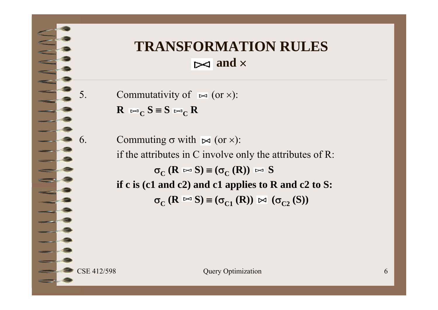### **TRANSFORMATION RULES and**

5. Commutativity of  $\bowtie$  (or  $\times$ ):  $R \Join_C S = S \Join_C R$ 

6. Commuting  $\sigma$  with  $\blacktriangleright$  (or  $\times$ ): if the attributes in C involve only the attributes of R:  $\sigma_C$  (**R**  $\bowtie$  **S**)  $\equiv (\sigma_C$  (**R**))  $\bowtie$  **S** if c is (c1 and c2) and c1 applies to R and c2 to S:  $\sigma_{\text{C}}$  (**R**  $\bowtie$  S)  $\equiv$  ( $\sigma_{\text{C1}}$  (**R**))  $\bowtie$  ( $\sigma_{\text{C2}}$  (S))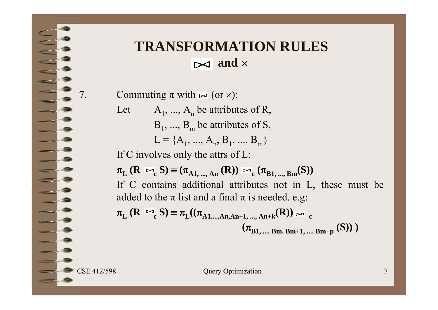### **TRANSFORMATION RULES and**

7. Commuting  $\pi$  with  $\bowtie$  (or  $\times$ ):

Let  $A_1, ..., A_n$  be attributes of R,  $\rm B$ <sub>1</sub>, ...,  $\rm B$ <sub>m</sub> be attributes of S,  $L = \{A_1, ..., A_n, B_1, ..., B_m\}$ 

If C involves only the attrs of L:

$$
\pi_{L} (\mathbf{R} \bowtie_{c} \mathbf{S}) = (\pi_{A1, \dots, An} (\mathbf{R})) \bowtie_{c} (\pi_{B1, \dots, Bm} (\mathbf{S}))
$$
  
If C contains additional attributes not in L, these must be added to the  $\pi$  list and a final  $\pi$  is needed. e.g:  

$$
\pi_{L} (\mathbf{R} \bowtie_{c} \mathbf{S}) = \pi_{L} ((\pi_{A1, \dots, An} A_{n+1, \dots, An+k} (\mathbf{R})) \bowtie_{c}
$$

$$
(\mathbf{R} \bowtie_{c} \mathbf{S}) = \pi_{\mathbf{L}}((\pi_{A1,\dots,An,An+1,\dots,An+k}(\mathbf{R}))_{\infty} \cdot (\pi_{B1,\dots,Bm,Bm+1,\dots,Bm+p}(\mathbf{S})))
$$

CSE 412/598 Query Optimization 7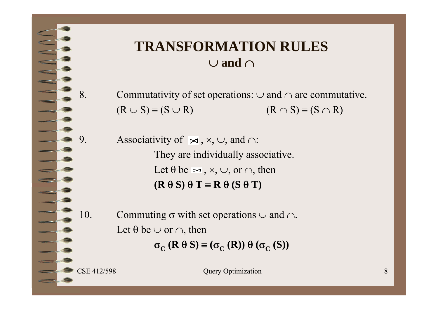#### **TRANSFORMATION RULES**  $\cup$  and  $\cap$

8. Commutativity of set operations:  $\cup$  and  $\cap$  are commutative.  $(R \cup S) \equiv (S \cup R)$  (R)  $\cap$  S)  $\equiv$  (S  $\cap$  R)

9. Associativity of  $\bowtie$ ,  $\times$ ,  $\cup$ , and  $\cap$ : They are individually associative. Let  $\theta$  be  $\bowtie$  ,  $\times$ ,  $\cup$ , or  $\cap$ , then  $(\mathbf{R} \theta \mathbf{S}) \theta \mathbf{T} \equiv \mathbf{R} \theta (\mathbf{S} \theta \mathbf{T})$ 

10. Commuting  $\sigma$  with set operations  $\cup$  and  $\cap$ . Let  $\theta$  be  $\cup$  or  $\cap$ , then  $\sigma_{\text{C}}$  (**R**  $\theta$  **S**)  $\equiv$  ( $\sigma_{\text{C}}$  (**R**))  $\theta$  ( $\sigma_{\text{C}}$  (**S**))

CSE 412/598 Query Optimization 8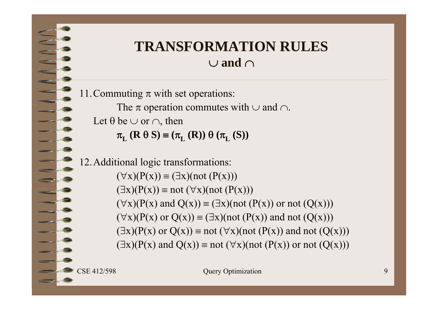#### **TRANSFORMATION RULES**  $\cup$  and  $\cap$

11. Commuting  $\pi$  with set operations:

The  $\pi$  operation commutes with  $\cup$  and  $\cap$ .

Let  $\theta$  be  $\cup$  or  $\cap$ , then

 $\pi_{\mathbf{L}}(\mathbf{R} \theta \mathbf{S}) \equiv (\pi_{\mathbf{L}}(\mathbf{R})) \theta (\pi_{\mathbf{L}}(\mathbf{S}))$ 

12.Additional logic transformations:  $(\forall x)(P(x)) \equiv (\exists x)(not(P(x)))$  $(\exists x)(P(x)) \equiv not (\forall x)(not (P(x)))$  $(\forall x)(P(x) \text{ and } Q(x)) \equiv (\exists x)(\text{not } (P(x)) \text{ or not } (Q(x)))$  $(\forall x)(P(x) \text{ or } Q(x)) \equiv (\exists x)(\text{not } (P(x)) \text{ and not } (Q(x)))$  $(\exists x)(P(x) \text{ or } Q(x)) \equiv \text{not } (\forall x)(\text{not } (P(x)) \text{ and not } (Q(x)))$  $(\exists x)(P(x) \text{ and } Q(x)) \equiv \text{not } (\forall x)(\text{not } (P(x)) \text{ or not } (Q(x)))$ 

CSE 412/598 Ouery Optimization 9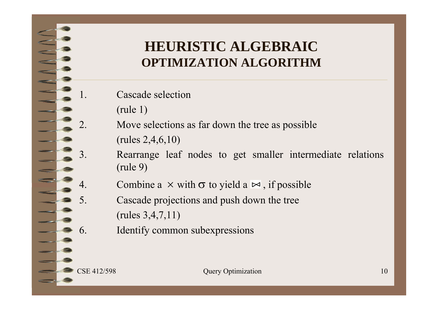#### **HEURISTIC ALGEBRAICOPTIMIZATION ALGORITHM**

- 1. Cascade selection
	- (rule 1)
	- Move selections as far down the tree as possible (rules 2,4,6,10)
	- Rearrange leaf nodes to get smaller intermediate relations (rule 9)
- 4. Combine a  $\times$  with  $\sigma$  to yield a  $\bowtie$ , if possible
	- Cascade projections and push down the tree (rules 3,4,7,11)
- 6. Identify common subexpressions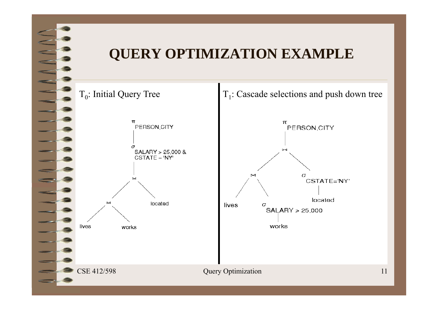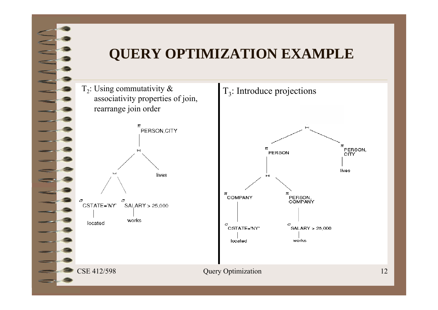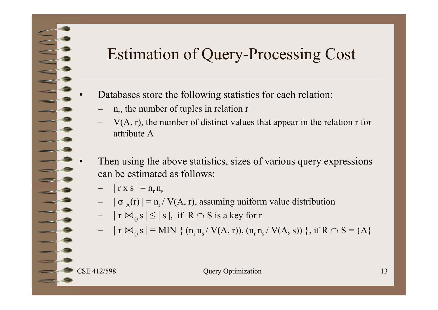## Estimation of Query-Processing Cost

- Databases store the following statistics for each relation:
	- – $n_r$ , the number of tuples in relation r
	- $-$  V(A, r), the number of distinct values that appear in the relation r for attribute A
- Then using the above statistics, sizes of various query expressions can be estimated as follows:
	- $-$  | r x s | = n<sub>r</sub> n<sub>s</sub>
	- $\sigma_A(r)$  | = n<sub>r</sub> / V(A, r), assuming uniform value distribution
	- $|r \bowtie_{\theta} s| \leq |s|$ , if  $R \cap S$  is a key for r
	- $\mathcal{L}_{\mathcal{A}}$  $|r \bowtie_{\theta} s| = MIN \{ (n_r n_s / V(A, r)), (n_r n_s / V(A, s)) \}$ , if  $R \cap S = \{A\}$

•

•